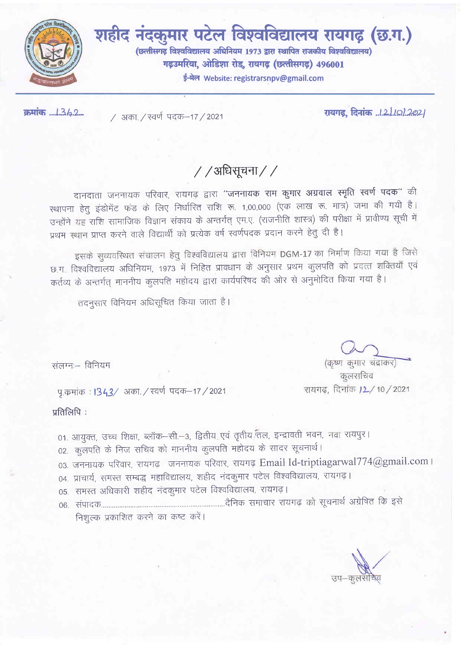

/ अका. / स्वर्ण पदक-17 / 2021

## / /अधिसूचना / /

दानदाता जननायक परिवार, रायगढ़ द्वारा "जननायक राम कुमार अग्रवाल स्मृति स्वर्ण पदक" की रथापना हेतु इंडोमेंट फंड के लिए निर्धारित राशि रू. 1,00,000 (एक लाख रू. मात्र) जमा की गयी है। उन्होंने यह राशि सामाजिक विज्ञान संकाय के अन्तर्गत् एम.ए. (राजनीति शास्त्र) की परीक्षा में प्रावीण्य सूची में प्रथम स्थान प्राप्त करने वाले विद्यार्थी को प्रत्येक वर्ष स्वर्णपदक प्रदान करने हेतु दी है।

इसके सुव्यवस्थित संचालन हेतु विश्वविद्यालय द्वारा विनियम DGM-17 का निर्माण किया गया है जिसे छ.ग. विश्वविद्यालय अधिनियम, 1973 में निहित प्रावधान के अनुसार प्रथम कुलपति को प्रदत्त शक्तियाँ एवं कर्तव्य के अन्तर्गत् माननीय कुलपति महोदय द्वारा कार्यपरिषद की ओर से अनुमोदित किया गया है।

तदनुसार विनियम अधिसूचित किया जाता है।

(कृष्ण कुमार चंद्राकर)

कुलसचिव रायगढ, दिनांक J2/10/2021

संलग्नः- विनियम

पू.कमांक : 1343/ अका. / स्वर्ण पदक-17 / 2021

प्रतिलिपि:

क्रमांक ......3.4.2...

01. आयुक्त, उच्च शिक्षा, ब्लॉक–सी.–3, द्वितीय एवं तृतीय तिल, इन्द्रावती भवन, नवा रायपूर।

02. कुलपति के निज सचिव को माननीय कुलपति महोदय के सादर सूचनार्थ।

03. जननायक परिवार, रायगढ़ जननायक परिवार, रायगढ़ Email Id-triptiagarwal774@gmail.com ।

04. प्राचार्य, समस्त सम्बद्ध महाविद्यालय, शहीद नंदकुमार पटेल विश्वविद्यालय, रायगढ़।

05. समस्त अधिकारी शहीद नंदकुमार पटेल विश्वविद्यालय, रायगढ़।

निशुल्क प्रकाशित करने का कष्ट करें।

उप–कलस